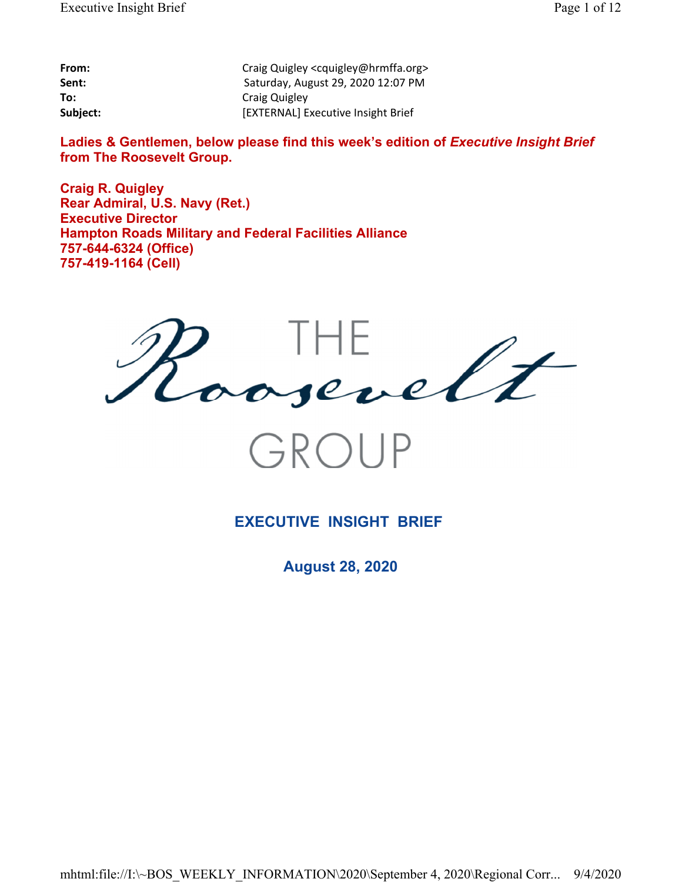| From:    |
|----------|
| Sent:    |
| To:      |
| Subiect: |

**From:** Craig Quigley <cquigley@hrmffa.org> **Sent:** Saturday, August 29, 2020 12:07 PM **To:** Craig Quigley Subject: **[EXTERNAL]** Executive Insight Brief

Ladies & Gentlemen, below please find this week's edition of *Executive Insight Brief* **from The Roosevelt Group.**

**Craig R. Quigley Rear Admiral, U.S. Navy (Ret.) Executive Director Hampton Roads Military and Federal Facilities Alliance 757-644-6324 (Office) 757-419-1164 (Cell)**



**EXECUTIVE INSIGHT BRIEF** 

**August 28, 2020**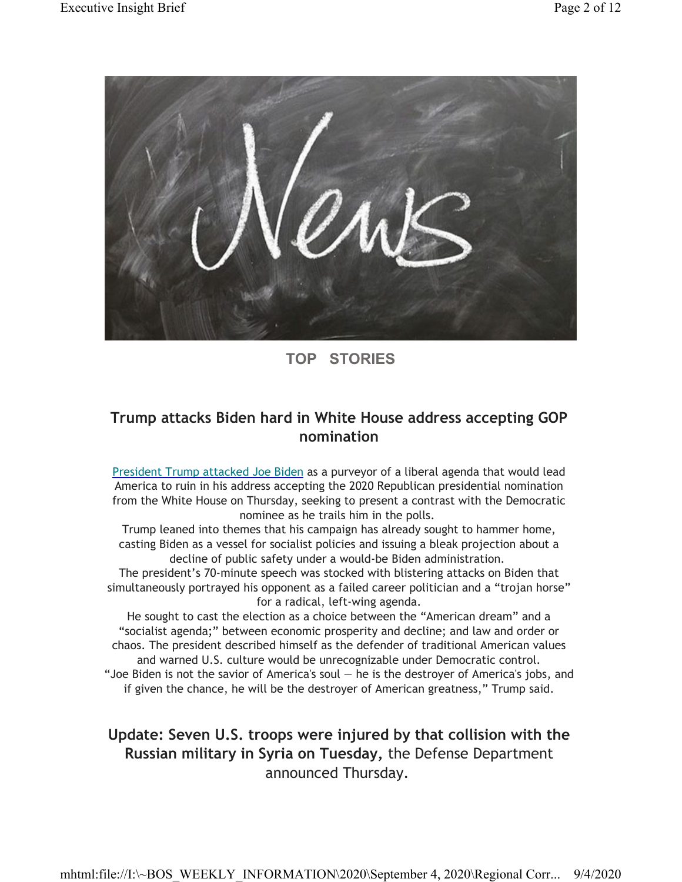

## **TOP STORIES**

## **Trump attacks Biden hard in White House address accepting GOP nomination**

President Trump attacked Joe Biden as a purveyor of a liberal agenda that would lead America to ruin in his address accepting the 2020 Republican presidential nomination from the White House on Thursday, seeking to present a contrast with the Democratic nominee as he trails him in the polls.

Trump leaned into themes that his campaign has already sought to hammer home, casting Biden as a vessel for socialist policies and issuing a bleak projection about a decline of public safety under a would-be Biden administration.

The president's 70-minute speech was stocked with blistering attacks on Biden that simultaneously portrayed his opponent as a failed career politician and a "trojan horse" for a radical, left-wing agenda.

He sought to cast the election as a choice between the "American dream" and a "socialist agenda;" between economic prosperity and decline; and law and order or chaos. The president described himself as the defender of traditional American values and warned U.S. culture would be unrecognizable under Democratic control. "Joe Biden is not the savior of America's soul  $-$  he is the destroyer of America's jobs, and if given the chance, he will be the destroyer of American greatness," Trump said.

## **Update: Seven U.S. troops were injured by that collision with the Russian military in Syria on Tuesday,** the Defense Department announced Thursday.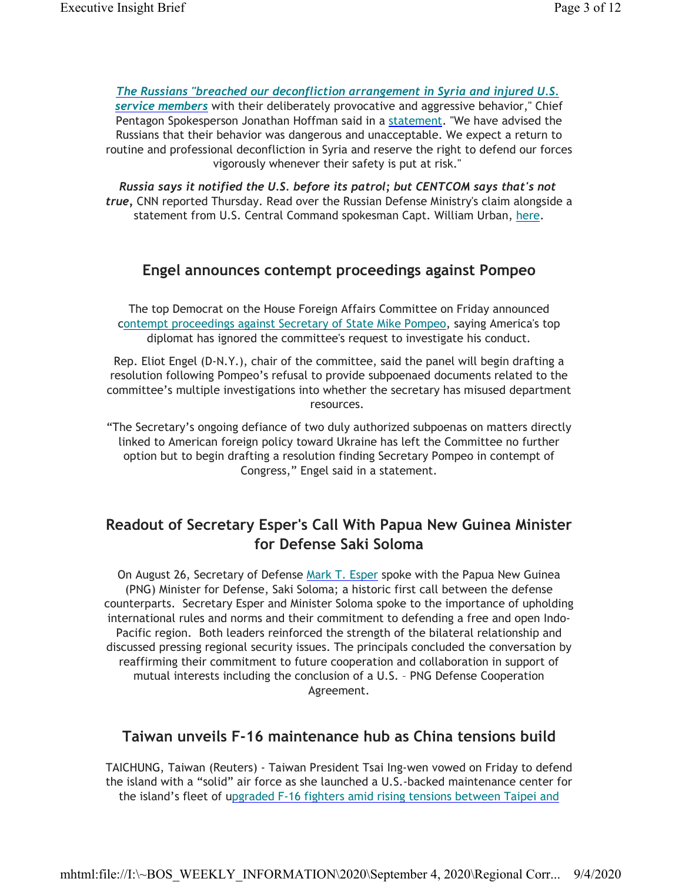*The Russians "breached our deconfliction arrangement in Syria and injured U.S. service members* with their deliberately provocative and aggressive behavior," Chief Pentagon Spokesperson Jonathan Hoffman said in a statement. "We have advised the Russians that their behavior was dangerous and unacceptable. We expect a return to routine and professional deconfliction in Syria and reserve the right to defend our forces vigorously whenever their safety is put at risk."

*Russia says it notified the U.S. before its patrol; but CENTCOM says that's not true,* CNN reported Thursday. Read over the Russian Defense Ministry's claim alongside a statement from U.S. Central Command spokesman Capt. William Urban, here.

### **Engel announces contempt proceedings against Pompeo**

The top Democrat on the House Foreign Affairs Committee on Friday announced contempt proceedings against Secretary of State Mike Pompeo, saying America's top diplomat has ignored the committee's request to investigate his conduct.

Rep. Eliot Engel (D-N.Y.), chair of the committee, said the panel will begin drafting a resolution following Pompeo's refusal to provide subpoenaed documents related to the committee's multiple investigations into whether the secretary has misused department resources.

"The Secretary's ongoing defiance of two duly authorized subpoenas on matters directly linked to American foreign policy toward Ukraine has left the Committee no further option but to begin drafting a resolution finding Secretary Pompeo in contempt of Congress," Engel said in a statement.

## **Readout of Secretary Esper's Call With Papua New Guinea Minister for Defense Saki Soloma**

On August 26, Secretary of Defense Mark T. Esper spoke with the Papua New Guinea (PNG) Minister for Defense, Saki Soloma; a historic first call between the defense counterparts. Secretary Esper and Minister Soloma spoke to the importance of upholding international rules and norms and their commitment to defending a free and open Indo-Pacific region. Both leaders reinforced the strength of the bilateral relationship and discussed pressing regional security issues. The principals concluded the conversation by reaffirming their commitment to future cooperation and collaboration in support of mutual interests including the conclusion of a U.S. – PNG Defense Cooperation Agreement.

### **Taiwan unveils F-16 maintenance hub as China tensions build**

TAICHUNG, Taiwan (Reuters) - Taiwan President Tsai Ing-wen vowed on Friday to defend the island with a "solid" air force as she launched a U.S.-backed maintenance center for the island's fleet of upgraded F-16 fighters amid rising tensions between Taipei and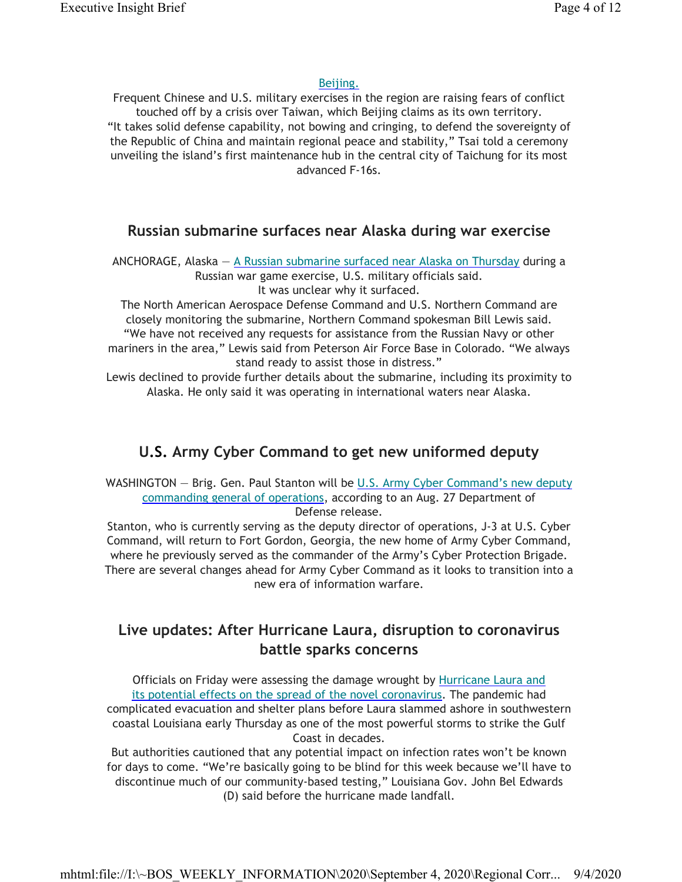#### Beijing.

Frequent Chinese and U.S. military exercises in the region are raising fears of conflict touched off by a crisis over Taiwan, which Beijing claims as its own territory. "It takes solid defense capability, not bowing and cringing, to defend the sovereignty of the Republic of China and maintain regional peace and stability," Tsai told a ceremony unveiling the island's first maintenance hub in the central city of Taichung for its most advanced F-16s.

### **Russian submarine surfaces near Alaska during war exercise**

ANCHORAGE, Alaska —  $\triangle$  Russian submarine surfaced near Alaska on Thursday during a Russian war game exercise, U.S. military officials said. It was unclear why it surfaced.

The North American Aerospace Defense Command and U.S. Northern Command are closely monitoring the submarine, Northern Command spokesman Bill Lewis said. "We have not received any requests for assistance from the Russian Navy or other mariners in the area," Lewis said from Peterson Air Force Base in Colorado. "We always stand ready to assist those in distress."

Lewis declined to provide further details about the submarine, including its proximity to Alaska. He only said it was operating in international waters near Alaska.

### **U.S. Army Cyber Command to get new uniformed deputy**

WASHINGTON - Brig. Gen. Paul Stanton will be U.S. Army Cyber Command's new deputy commanding general of operations, according to an Aug. 27 Department of Defense release.

Stanton, who is currently serving as the deputy director of operations, J-3 at U.S. Cyber Command, will return to Fort Gordon, Georgia, the new home of Army Cyber Command, where he previously served as the commander of the Army's Cyber Protection Brigade. There are several changes ahead for Army Cyber Command as it looks to transition into a new era of information warfare.

## **Live updates: After Hurricane Laura, disruption to coronavirus battle sparks concerns**

Officials on Friday were assessing the damage wrought by Hurricane Laura and its potential effects on the spread of the novel coronavirus. The pandemic had complicated evacuation and shelter plans before Laura slammed ashore in southwestern coastal Louisiana early Thursday as one of the most powerful storms to strike the Gulf Coast in decades.

But authorities cautioned that any potential impact on infection rates won't be known for days to come. "We're basically going to be blind for this week because we'll have to discontinue much of our community-based testing," Louisiana Gov. John Bel Edwards (D) said before the hurricane made landfall.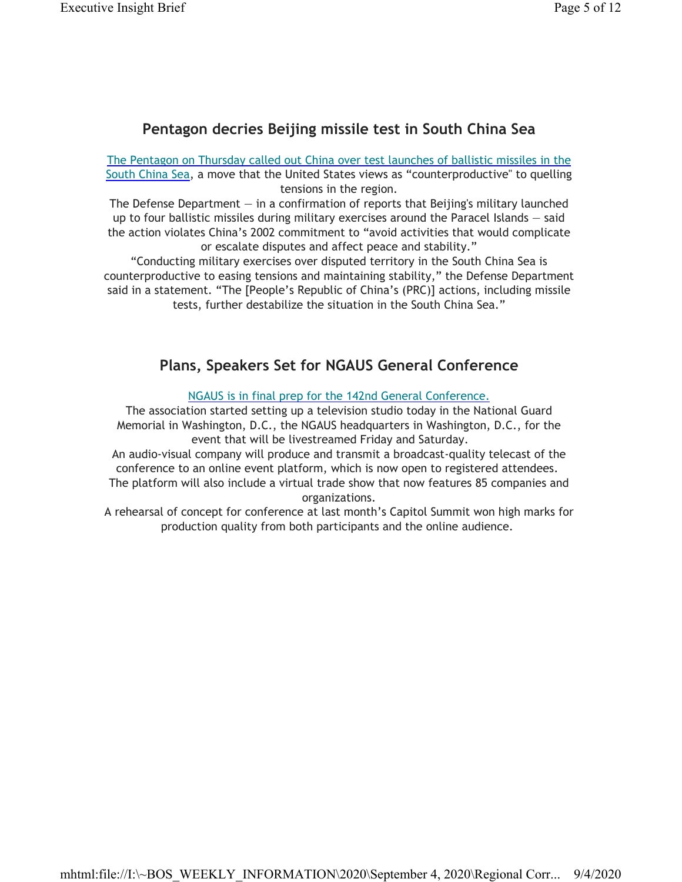# **Pentagon decries Beijing missile test in South China Sea**

The Pentagon on Thursday called out China over test launches of ballistic missiles in the South China Sea, a move that the United States views as "counterproductive" to quelling tensions in the region.

The Defense Department  $-$  in a confirmation of reports that Beijing's military launched up to four ballistic missiles during military exercises around the Paracel Islands — said the action violates China's 2002 commitment to "avoid activities that would complicate or escalate disputes and affect peace and stability."

"Conducting military exercises over disputed territory in the South China Sea is counterproductive to easing tensions and maintaining stability," the Defense Department said in a statement. "The [People's Republic of China's (PRC)] actions, including missile tests, further destabilize the situation in the South China Sea."

# **Plans, Speakers Set for NGAUS General Conference**

NGAUS is in final prep for the 142nd General Conference.

The association started setting up a television studio today in the National Guard Memorial in Washington, D.C., the NGAUS headquarters in Washington, D.C., for the event that will be livestreamed Friday and Saturday.

An audio-visual company will produce and transmit a broadcast-quality telecast of the conference to an online event platform, which is now open to registered attendees. The platform will also include a virtual trade show that now features 85 companies and

organizations.

A rehearsal of concept for conference at last month's Capitol Summit won high marks for production quality from both participants and the online audience.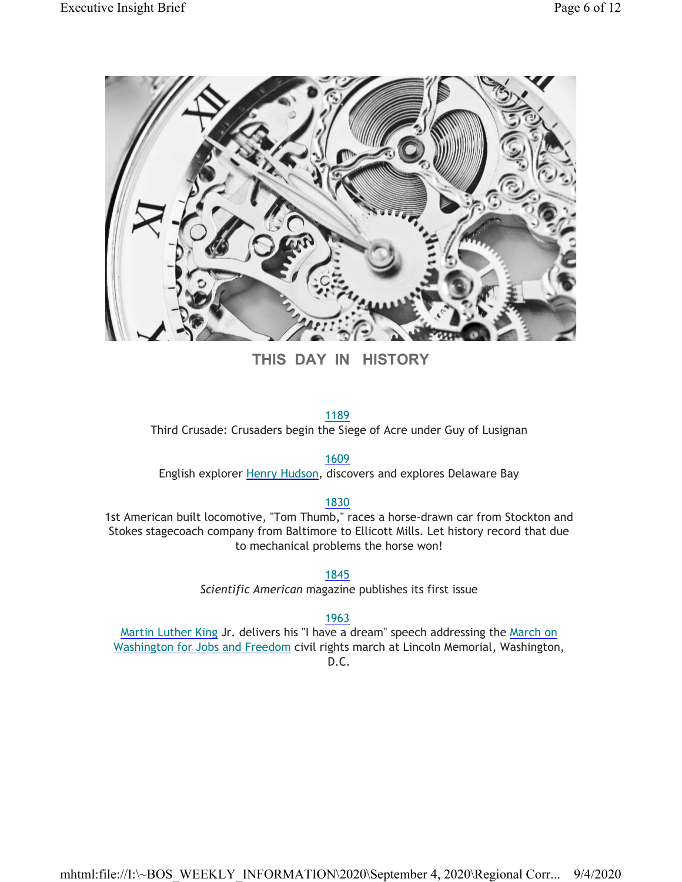

**THIS DAY IN HISTORY**

#### 1189

Third Crusade: Crusaders begin the Siege of Acre under Guy of Lusignan

1609

English explorer Henry Hudson, discovers and explores Delaware Bay

#### 1830

1st American built locomotive, "Tom Thumb," races a horse-drawn car from Stockton and Stokes stagecoach company from Baltimore to Ellicott Mills. Let history record that due to mechanical problems the horse won!

1845

*Scientific American* magazine publishes its first issue

1963

Martin Luther King Jr. delivers his "I have a dream" speech addressing the March on Washington for Jobs and Freedom civil rights march at Lincoln Memorial, Washington, D.C.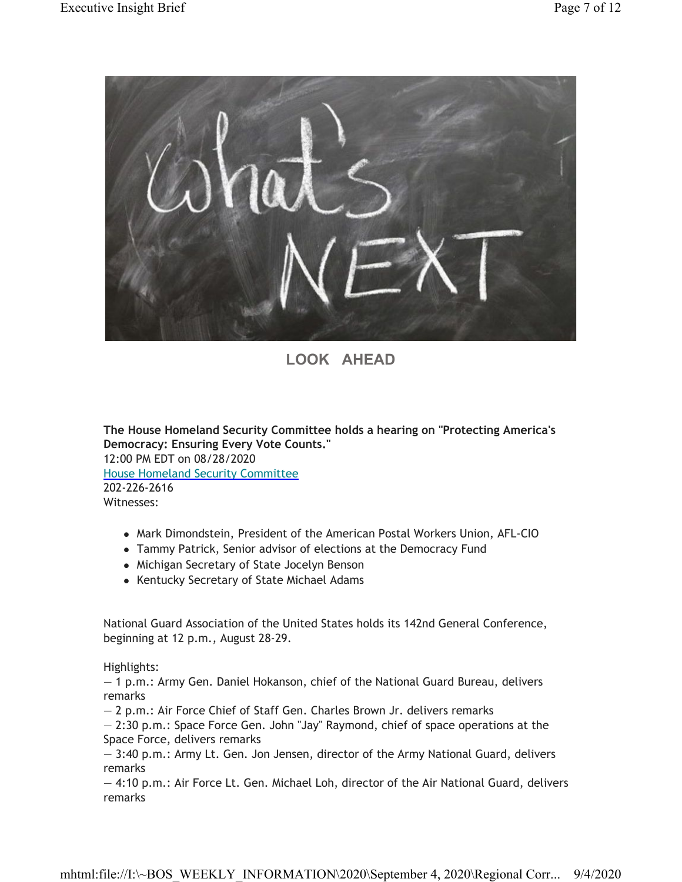

## **LOOK AHEAD**

**The House Homeland Security Committee holds a hearing on "Protecting America's Democracy: Ensuring Every Vote Counts."** 12:00 PM EDT on 08/28/2020 House Homeland Security Committee 202-226-2616 Witnesses:

- Mark Dimondstein, President of the American Postal Workers Union, AFL-CIO
- Tammy Patrick, Senior advisor of elections at the Democracy Fund
- Michigan Secretary of State Jocelyn Benson
- Kentucky Secretary of State Michael Adams

National Guard Association of the United States holds its 142nd General Conference, beginning at 12 p.m., August 28-29.

Highlights:

— 1 p.m.: Army Gen. Daniel Hokanson, chief of the National Guard Bureau, delivers remarks

— 2 p.m.: Air Force Chief of Staff Gen. Charles Brown Jr. delivers remarks

— 2:30 p.m.: Space Force Gen. John "Jay" Raymond, chief of space operations at the Space Force, delivers remarks

— 3:40 p.m.: Army Lt. Gen. Jon Jensen, director of the Army National Guard, delivers remarks

— 4:10 p.m.: Air Force Lt. Gen. Michael Loh, director of the Air National Guard, delivers remarks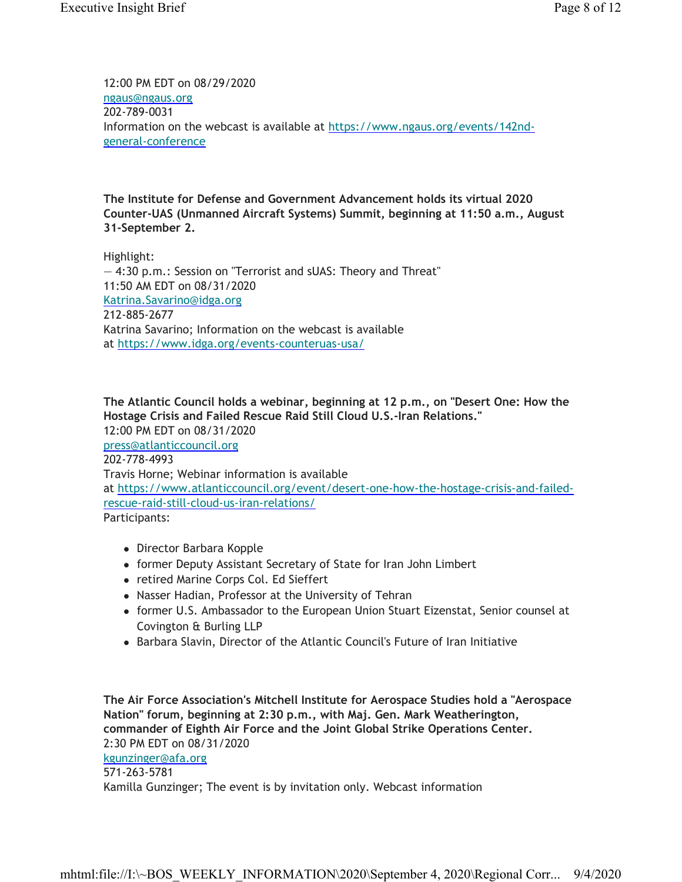12:00 PM EDT on 08/29/2020 ngaus@ngaus.org 202-789-0031 Information on the webcast is available at https://www.ngaus.org/events/142ndgeneral-conference

**The Institute for Defense and Government Advancement holds its virtual 2020 Counter-UAS (Unmanned Aircraft Systems) Summit, beginning at 11:50 a.m., August 31-September 2.**

Highlight: — 4:30 p.m.: Session on "Terrorist and sUAS: Theory and Threat" 11:50 AM EDT on 08/31/2020 Katrina.Savarino@idga.org 212-885-2677 Katrina Savarino; Information on the webcast is available at https://www.idga.org/events-counteruas-usa/

**The Atlantic Council holds a webinar, beginning at 12 p.m., on "Desert One: How the Hostage Crisis and Failed Rescue Raid Still Cloud U.S.-Iran Relations."** 12:00 PM EDT on 08/31/2020 press@atlanticcouncil.org 202-778-4993 Travis Horne; Webinar information is available at https://www.atlanticcouncil.org/event/desert-one-how-the-hostage-crisis-and-failedrescue-raid-still-cloud-us-iran-relations/ Participants:

- Director Barbara Kopple
- former Deputy Assistant Secretary of State for Iran John Limbert
- retired Marine Corps Col. Ed Sieffert
- Nasser Hadian, Professor at the University of Tehran
- former U.S. Ambassador to the European Union Stuart Eizenstat, Senior counsel at Covington & Burling LLP
- Barbara Slavin, Director of the Atlantic Council's Future of Iran Initiative

**The Air Force Association's Mitchell Institute for Aerospace Studies hold a "Aerospace Nation" forum, beginning at 2:30 p.m., with Maj. Gen. Mark Weatherington, commander of Eighth Air Force and the Joint Global Strike Operations Center.** 2:30 PM EDT on 08/31/2020 kgunzinger@afa.org 571-263-5781 Kamilla Gunzinger; The event is by invitation only. Webcast information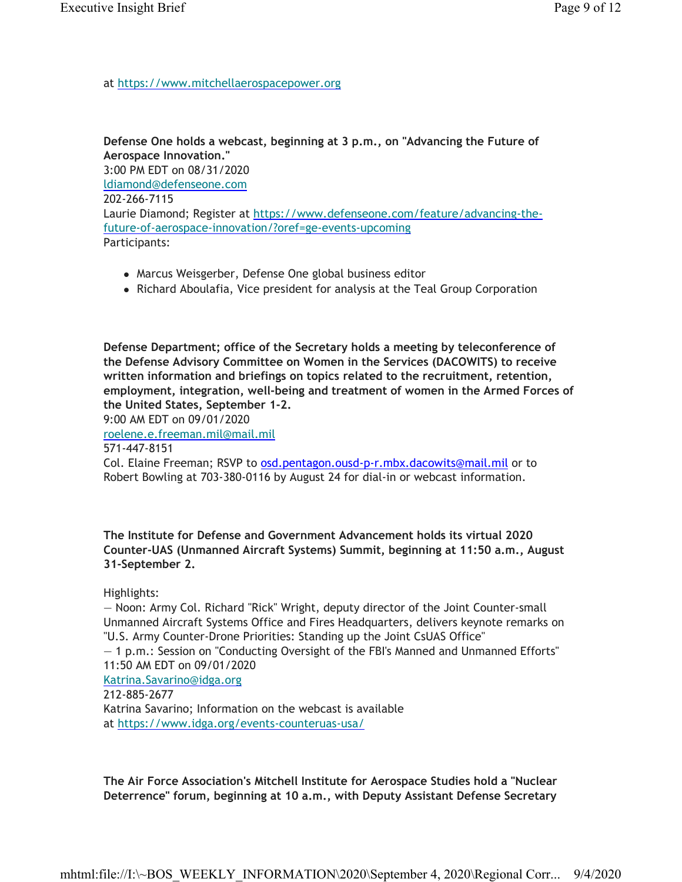at https://www.mitchellaerospacepower.org

#### **Defense One holds a webcast, beginning at 3 p.m., on "Advancing the Future of Aerospace Innovation."**

3:00 PM EDT on 08/31/2020 ldiamond@defenseone.com 202-266-7115 Laurie Diamond; Register at https://www.defenseone.com/feature/advancing-thefuture-of-aerospace-innovation/?oref=ge-events-upcoming Participants:

- Marcus Weisgerber, Defense One global business editor
- Richard Aboulafia, Vice president for analysis at the Teal Group Corporation

**Defense Department; office of the Secretary holds a meeting by teleconference of the Defense Advisory Committee on Women in the Services (DACOWITS) to receive written information and briefings on topics related to the recruitment, retention, employment, integration, well-being and treatment of women in the Armed Forces of the United States, September 1-2.**

9:00 AM EDT on 09/01/2020

roelene.e.freeman.mil@mail.mil

571-447-8151

Col. Elaine Freeman; RSVP to osd.pentagon.ousd-p-r.mbx.dacowits@mail.mil or to Robert Bowling at 703-380-0116 by August 24 for dial-in or webcast information.

**The Institute for Defense and Government Advancement holds its virtual 2020 Counter-UAS (Unmanned Aircraft Systems) Summit, beginning at 11:50 a.m., August 31-September 2.**

Highlights:

— Noon: Army Col. Richard "Rick" Wright, deputy director of the Joint Counter-small Unmanned Aircraft Systems Office and Fires Headquarters, delivers keynote remarks on "U.S. Army Counter-Drone Priorities: Standing up the Joint CsUAS Office" — 1 p.m.: Session on "Conducting Oversight of the FBI's Manned and Unmanned Efforts" 11:50 AM EDT on 09/01/2020 Katrina.Savarino@idga.org 212-885-2677 Katrina Savarino; Information on the webcast is available at https://www.idga.org/events-counteruas-usa/

**The Air Force Association's Mitchell Institute for Aerospace Studies hold a "Nuclear Deterrence" forum, beginning at 10 a.m., with Deputy Assistant Defense Secretary**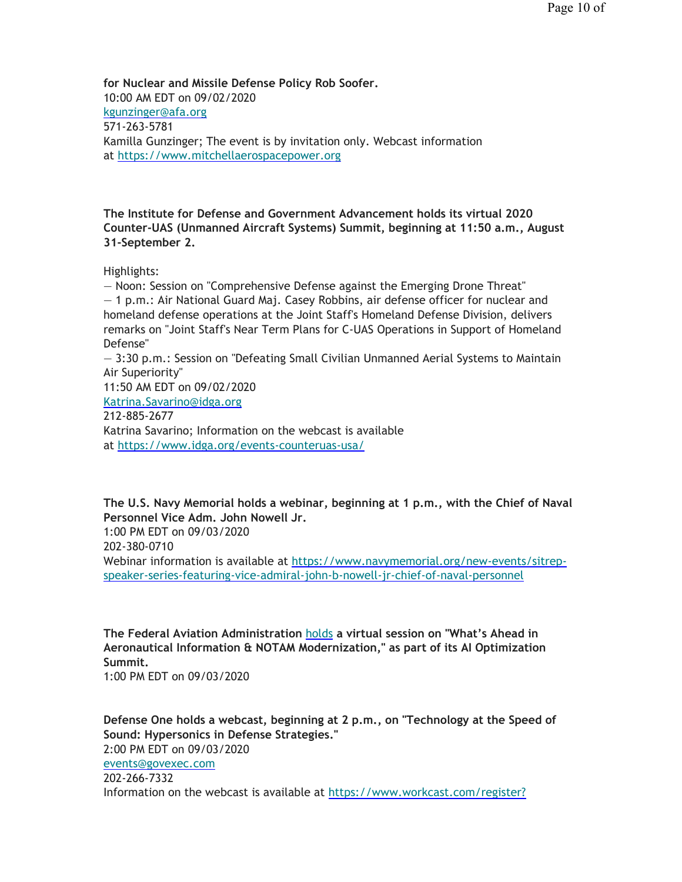**for Nuclear and Missile Defense Policy Rob Soofer.** 10:00 AM EDT on 09/02/2020 kgunzinger@afa.org 571-263-5781 Kamilla Gunzinger; The event is by invitation only. Webcast information at https://www.mitchellaerospacepower.org

**The Institute for Defense and Government Advancement holds its virtual 2020 Counter-UAS (Unmanned Aircraft Systems) Summit, beginning at 11:50 a.m., August 31-September 2.**

Highlights:

— Noon: Session on "Comprehensive Defense against the Emerging Drone Threat" — 1 p.m.: Air National Guard Maj. Casey Robbins, air defense officer for nuclear and homeland defense operations at the Joint Staff's Homeland Defense Division, delivers remarks on "Joint Staff's Near Term Plans for C-UAS Operations in Support of Homeland Defense"

— 3:30 p.m.: Session on "Defeating Small Civilian Unmanned Aerial Systems to Maintain Air Superiority"

11:50 AM EDT on 09/02/2020

Katrina.Savarino@idga.org

212-885-2677

Katrina Savarino; Information on the webcast is available at https://www.idga.org/events-counteruas-usa/

**The U.S. Navy Memorial holds a webinar, beginning at 1 p.m., with the Chief of Naval Personnel Vice Adm. John Nowell Jr.** 1:00 PM EDT on 09/03/2020 202-380-0710 Webinar information is available at https://www.navymemorial.org/new-events/sitrepspeaker-series-featuring-vice-admiral-john-b-nowell-jr-chief-of-naval-personnel

**The Federal Aviation Administration** holds **a virtual session on "What's Ahead in Aeronautical Information & NOTAM Modernization," as part of its AI Optimization Summit.**

1:00 PM EDT on 09/03/2020

**Defense One holds a webcast, beginning at 2 p.m., on "Technology at the Speed of Sound: Hypersonics in Defense Strategies."** 2:00 PM EDT on 09/03/2020 events@govexec.com 202-266-7332 Information on the webcast is available at https://www.workcast.com/register?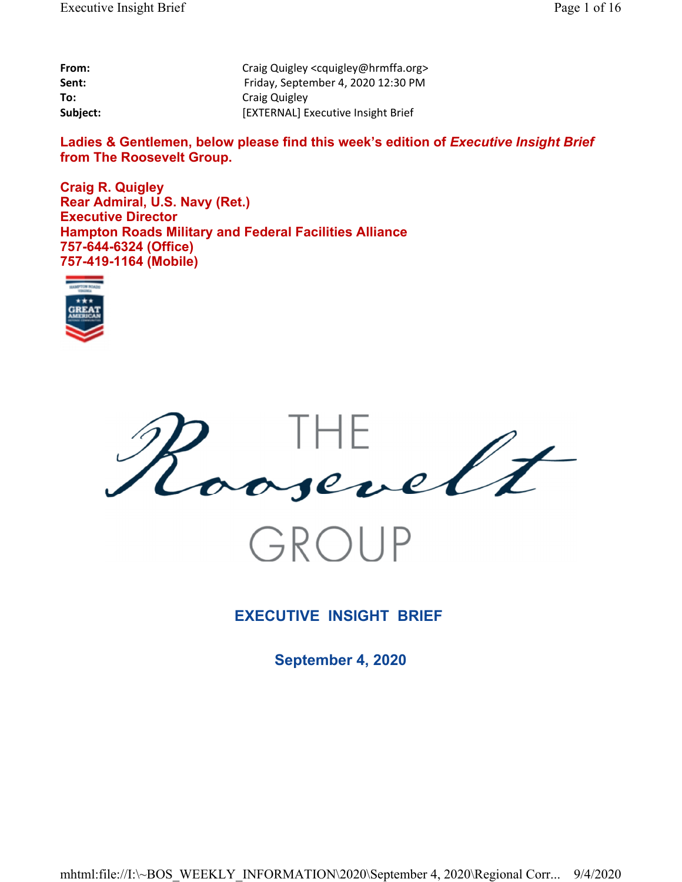| From:    | Craig Quigley <cquigley@hrmffa.org></cquigley@hrmffa.org> |
|----------|-----------------------------------------------------------|
| Sent:    | Friday, September 4, 2020 12:30 PM                        |
| To:      | Craig Quigley                                             |
| Subject: | [EXTERNAL] Executive Insight Brief                        |

Ladies & Gentlemen, below please find this week's edition of *Executive Insight Brief* **from The Roosevelt Group.**

**Craig R. Quigley Rear Admiral, U.S. Navy (Ret.) Executive Director Hampton Roads Military and Federal Facilities Alliance 757-644-6324 (Office) 757-419-1164 (Mobile)**





## **EXECUTIVE INSIGHT BRIEF**

**September 4, 2020**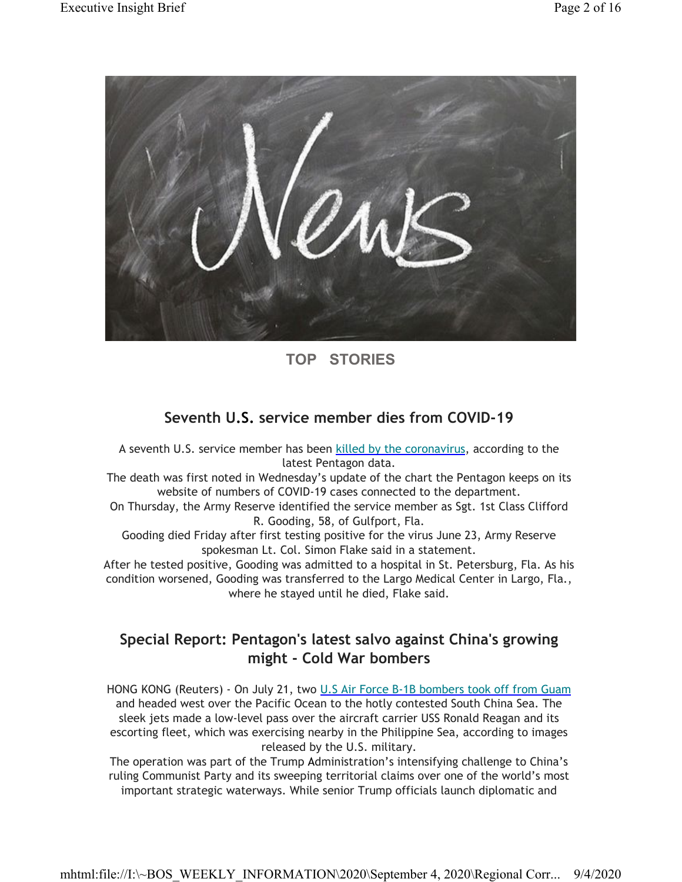

## **TOP STORIES**

## **Seventh U.S. service member dies from COVID-19**

A seventh U.S. service member has been killed by the coronavirus, according to the latest Pentagon data.

The death was first noted in Wednesday's update of the chart the Pentagon keeps on its website of numbers of COVID-19 cases connected to the department.

On Thursday, the Army Reserve identified the service member as Sgt. 1st Class Clifford R. Gooding, 58, of Gulfport, Fla.

Gooding died Friday after first testing positive for the virus June 23, Army Reserve spokesman Lt. Col. Simon Flake said in a statement.

After he tested positive, Gooding was admitted to a hospital in St. Petersburg, Fla. As his condition worsened, Gooding was transferred to the Largo Medical Center in Largo, Fla., where he stayed until he died, Flake said.

## **Special Report: Pentagon's latest salvo against China's growing might - Cold War bombers**

HONG KONG (Reuters) - On July 21, two U.S Air Force B-1B bombers took off from Guam and headed west over the Pacific Ocean to the hotly contested South China Sea. The sleek jets made a low-level pass over the aircraft carrier USS Ronald Reagan and its escorting fleet, which was exercising nearby in the Philippine Sea, according to images released by the U.S. military.

The operation was part of the Trump Administration's intensifying challenge to China's ruling Communist Party and its sweeping territorial claims over one of the world's most important strategic waterways. While senior Trump officials launch diplomatic and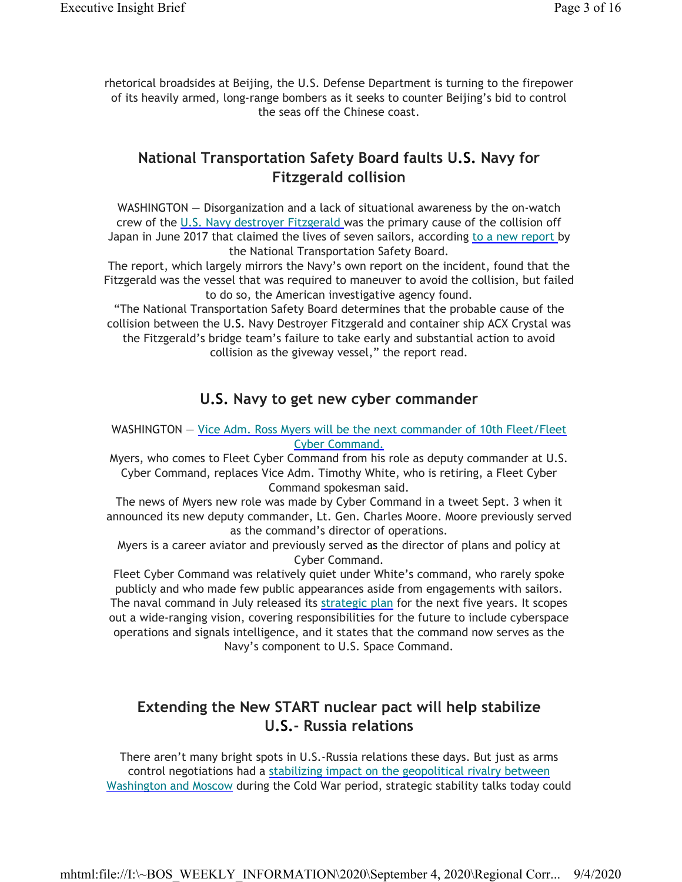rhetorical broadsides at Beijing, the U.S. Defense Department is turning to the firepower of its heavily armed, long-range bombers as it seeks to counter Beijing's bid to control the seas off the Chinese coast.

### **National Transportation Safety Board faults U.S. Navy for Fitzgerald collision**

WASHINGTON — Disorganization and a lack of situational awareness by the on-watch crew of the U.S. Navy destroyer Fitzgerald was the primary cause of the collision off Japan in June 2017 that claimed the lives of seven sailors, according to a new report by the National Transportation Safety Board.

The report, which largely mirrors the Navy's own report on the incident, found that the Fitzgerald was the vessel that was required to maneuver to avoid the collision, but failed to do so, the American investigative agency found.

"The National Transportation Safety Board determines that the probable cause of the collision between the U.S. Navy Destroyer Fitzgerald and container ship ACX Crystal was the Fitzgerald's bridge team's failure to take early and substantial action to avoid collision as the giveway vessel," the report read.

### **U.S. Navy to get new cyber commander**

#### WASHINGTON — Vice Adm. Ross Myers will be the next commander of 10th Fleet/Fleet Cyber Command.

Myers, who comes to Fleet Cyber Command from his role as deputy commander at U.S. Cyber Command, replaces Vice Adm. Timothy White, who is retiring, a Fleet Cyber Command spokesman said.

The news of Myers new role was made by Cyber Command in a tweet Sept. 3 when it announced its new deputy commander, Lt. Gen. Charles Moore. Moore previously served as the command's director of operations.

Myers is a career aviator and previously served as the director of plans and policy at Cyber Command.

Fleet Cyber Command was relatively quiet under White's command, who rarely spoke publicly and who made few public appearances aside from engagements with sailors. The naval command in July released its strategic plan for the next five years. It scopes out a wide-ranging vision, covering responsibilities for the future to include cyberspace operations and signals intelligence, and it states that the command now serves as the Navy's component to U.S. Space Command.

## **Extending the New START nuclear pact will help stabilize U.S.- Russia relations**

There aren't many bright spots in U.S.-Russia relations these days. But just as arms control negotiations had a stabilizing impact on the geopolitical rivalry between Washington and Moscow during the Cold War period, strategic stability talks today could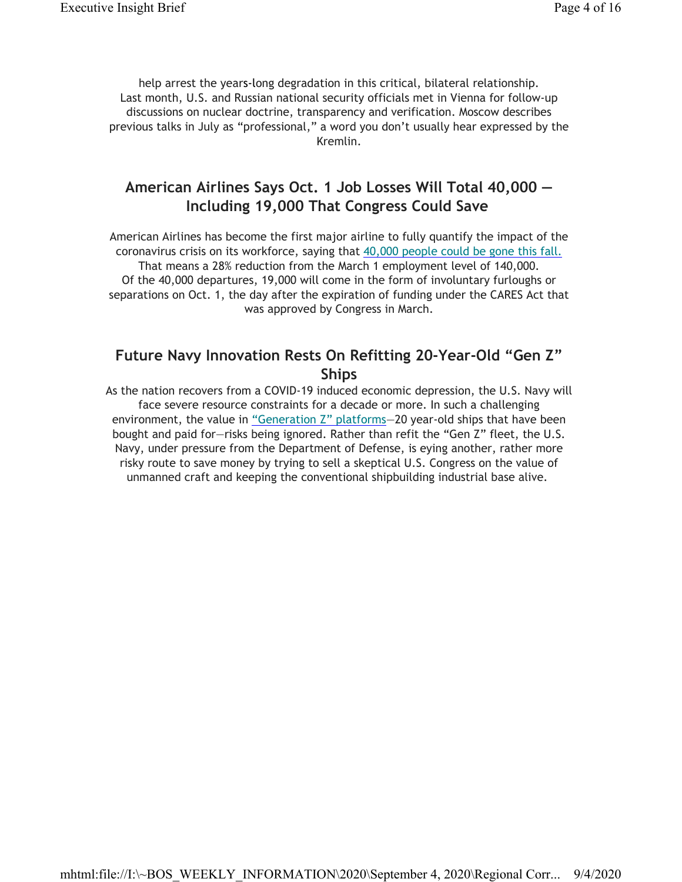help arrest the years-long degradation in this critical, bilateral relationship. Last month, U.S. and Russian national security officials met in Vienna for follow-up discussions on nuclear doctrine, transparency and verification. Moscow describes previous talks in July as "professional," a word you don't usually hear expressed by the Kremlin.

## **American Airlines Says Oct. 1 Job Losses Will Total 40,000 — Including 19,000 That Congress Could Save**

American Airlines has become the first major airline to fully quantify the impact of the coronavirus crisis on its workforce, saying that 40,000 people could be gone this fall. That means a 28% reduction from the March 1 employment level of 140,000. Of the 40,000 departures, 19,000 will come in the form of involuntary furloughs or separations on Oct. 1, the day after the expiration of funding under the CARES Act that was approved by Congress in March.

### **Future Navy Innovation Rests On Refitting 20-Year-Old "Gen Z" Ships**

As the nation recovers from a COVID-19 induced economic depression, the U.S. Navy will face severe resource constraints for a decade or more. In such a challenging environment, the value in "Generation Z" platforms—20 year-old ships that have been bought and paid for—risks being ignored. Rather than refit the "Gen Z" fleet, the U.S. Navy, under pressure from the Department of Defense, is eying another, rather more risky route to save money by trying to sell a skeptical U.S. Congress on the value of unmanned craft and keeping the conventional shipbuilding industrial base alive.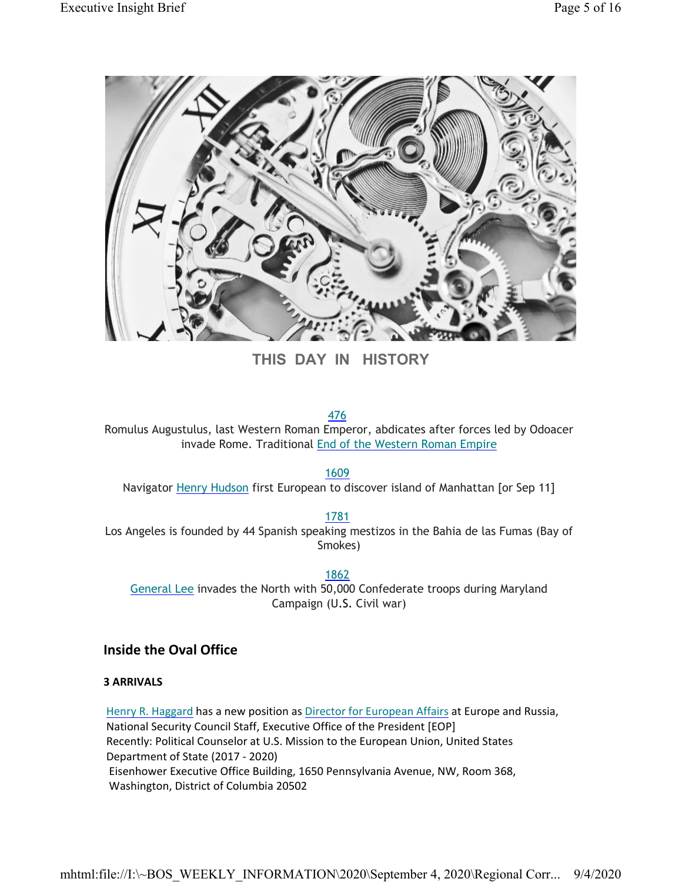

**THIS DAY IN HISTORY**

476

Romulus Augustulus, last Western Roman Emperor, abdicates after forces led by Odoacer invade Rome. Traditional End of the Western Roman Empire

1609

Navigator Henry Hudson first European to discover island of Manhattan [or Sep 11]

1781

Los Angeles is founded by 44 Spanish speaking mestizos in the Bahia de las Fumas (Bay of Smokes)

1862 General Lee invades the North with 50,000 Confederate troops during Maryland Campaign (U.S. Civil war)

**Inside the Oval Office**

**3 ARRIVALS**

Henry R. Haggard has a new position as Director for European Affairs at Europe and Russia, National Security Council Staff, Executive Office of the President [EOP] Recently: Political Counselor at U.S. Mission to the European Union, United States Department of State (2017 - 2020) Eisenhower Executive Office Building, 1650 Pennsylvania Avenue, NW, Room 368, Washington, District of Columbia 20502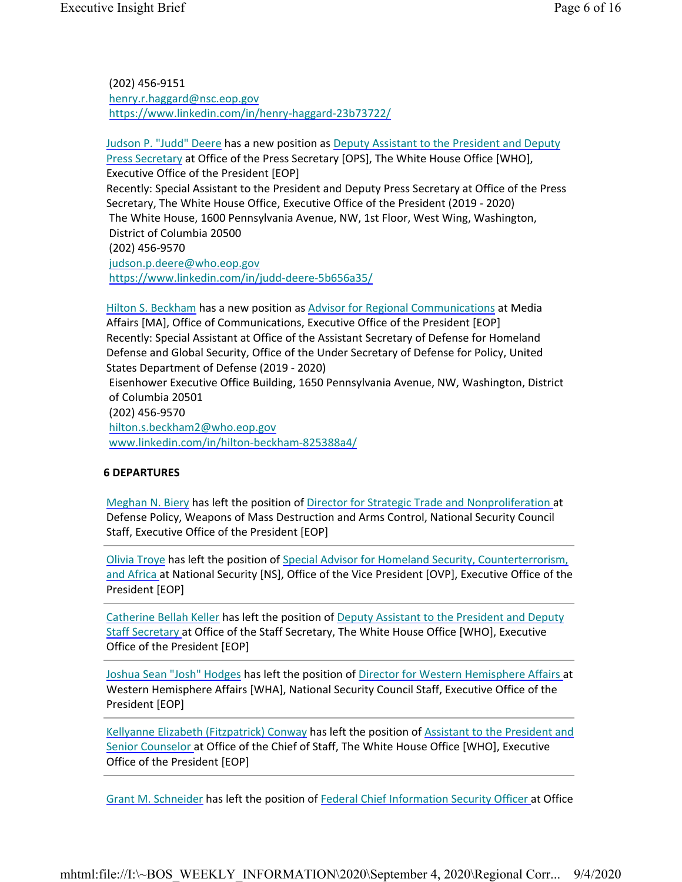(202) 456-9151 henry.r.haggard@nsc.eop.gov https://www.linkedin.com/in/henry-haggard-23b73722/

Judson P. "Judd" Deere has a new position as Deputy Assistant to the President and Deputy Press Secretary at Office of the Press Secretary [OPS], The White House Office [WHO], Executive Office of the President [EOP] Recently: Special Assistant to the President and Deputy Press Secretary at Office of the Press Secretary, The White House Office, Executive Office of the President (2019 - 2020) The White House, 1600 Pennsylvania Avenue, NW, 1st Floor, West Wing, Washington, District of Columbia 20500 (202) 456-9570 judson.p.deere@who.eop.gov https://www.linkedin.com/in/judd-deere-5b656a35/

Hilton S. Beckham has a new position as Advisor for Regional Communications at Media Affairs [MA], Office of Communications, Executive Office of the President [EOP] Recently: Special Assistant at Office of the Assistant Secretary of Defense for Homeland Defense and Global Security, Office of the Under Secretary of Defense for Policy, United States Department of Defense (2019 - 2020) Eisenhower Executive Office Building, 1650 Pennsylvania Avenue, NW, Washington, District

of Columbia 20501 (202) 456-9570

hilton.s.beckham2@who.eop.gov www.linkedin.com/in/hilton-beckham-825388a4/

#### **6 DEPARTURES**

Meghan N. Biery has left the position of Director for Strategic Trade and Nonproliferation at Defense Policy, Weapons of Mass Destruction and Arms Control, National Security Council Staff, Executive Office of the President [EOP]

Olivia Troye has left the position of Special Advisor for Homeland Security, Counterterrorism, and Africa at National Security [NS], Office of the Vice President [OVP], Executive Office of the President [EOP]

Catherine Bellah Keller has left the position of Deputy Assistant to the President and Deputy Staff Secretary at Office of the Staff Secretary, The White House Office [WHO], Executive Office of the President [EOP]

Joshua Sean "Josh" Hodges has left the position of Director for Western Hemisphere Affairs at Western Hemisphere Affairs [WHA], National Security Council Staff, Executive Office of the President [EOP]

Kellyanne Elizabeth (Fitzpatrick) Conway has left the position of Assistant to the President and Senior Counselor at Office of the Chief of Staff, The White House Office [WHO], Executive Office of the President [EOP]

Grant M. Schneider has left the position of Federal Chief Information Security Officer at Office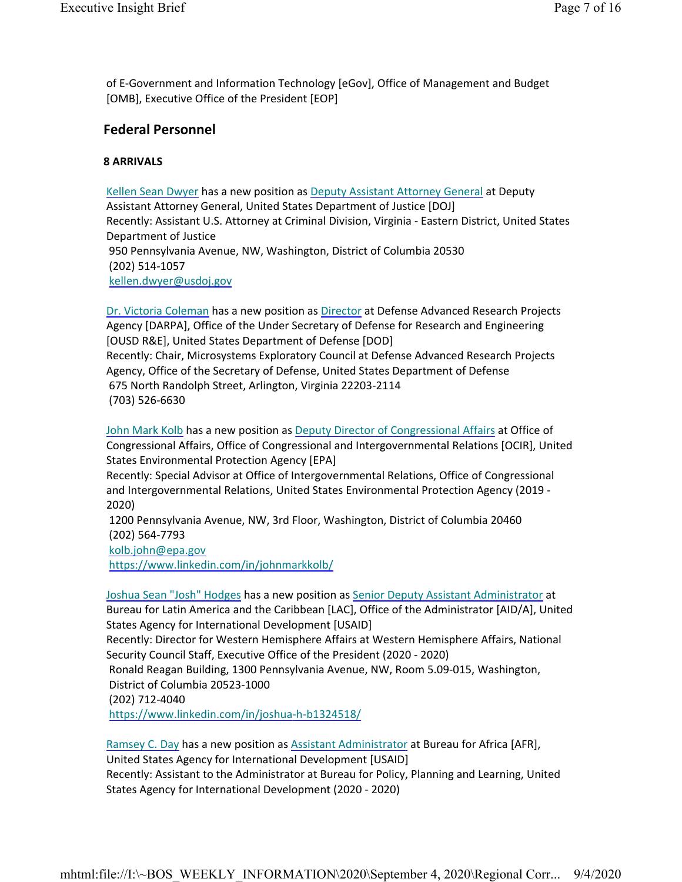of E-Government and Information Technology [eGov], Office of Management and Budget [OMB], Executive Office of the President [EOP]

### **Federal Personnel**

#### **8 ARRIVALS**

Kellen Sean Dwyer has a new position as Deputy Assistant Attorney General at Deputy Assistant Attorney General, United States Department of Justice [DOJ] Recently: Assistant U.S. Attorney at Criminal Division, Virginia - Eastern District, United States Department of Justice 950 Pennsylvania Avenue, NW, Washington, District of Columbia 20530 (202) 514-1057 kellen.dwyer@usdoj.gov

Dr. Victoria Coleman has a new position as Director at Defense Advanced Research Projects Agency [DARPA], Office of the Under Secretary of Defense for Research and Engineering [OUSD R&E], United States Department of Defense [DOD] Recently: Chair, Microsystems Exploratory Council at Defense Advanced Research Projects Agency, Office of the Secretary of Defense, United States Department of Defense 675 North Randolph Street, Arlington, Virginia 22203-2114 (703) 526-6630

John Mark Kolb has a new position as Deputy Director of Congressional Affairs at Office of Congressional Affairs, Office of Congressional and Intergovernmental Relations [OCIR], United States Environmental Protection Agency [EPA]

Recently: Special Advisor at Office of Intergovernmental Relations, Office of Congressional and Intergovernmental Relations, United States Environmental Protection Agency (2019 - 2020)

1200 Pennsylvania Avenue, NW, 3rd Floor, Washington, District of Columbia 20460 (202) 564-7793

kolb.john@epa.gov

https://www.linkedin.com/in/johnmarkkolb/

Joshua Sean "Josh" Hodges has a new position as Senior Deputy Assistant Administrator at

Bureau for Latin America and the Caribbean [LAC], Office of the Administrator [AID/A], United States Agency for International Development [USAID]

Recently: Director for Western Hemisphere Affairs at Western Hemisphere Affairs, National Security Council Staff, Executive Office of the President (2020 - 2020)

Ronald Reagan Building, 1300 Pennsylvania Avenue, NW, Room 5.09-015, Washington, District of Columbia 20523-1000

(202) 712-4040

https://www.linkedin.com/in/joshua-h-b1324518/

Ramsey C. Day has a new position as Assistant Administrator at Bureau for Africa [AFR], United States Agency for International Development [USAID] Recently: Assistant to the Administrator at Bureau for Policy, Planning and Learning, United States Agency for International Development (2020 - 2020)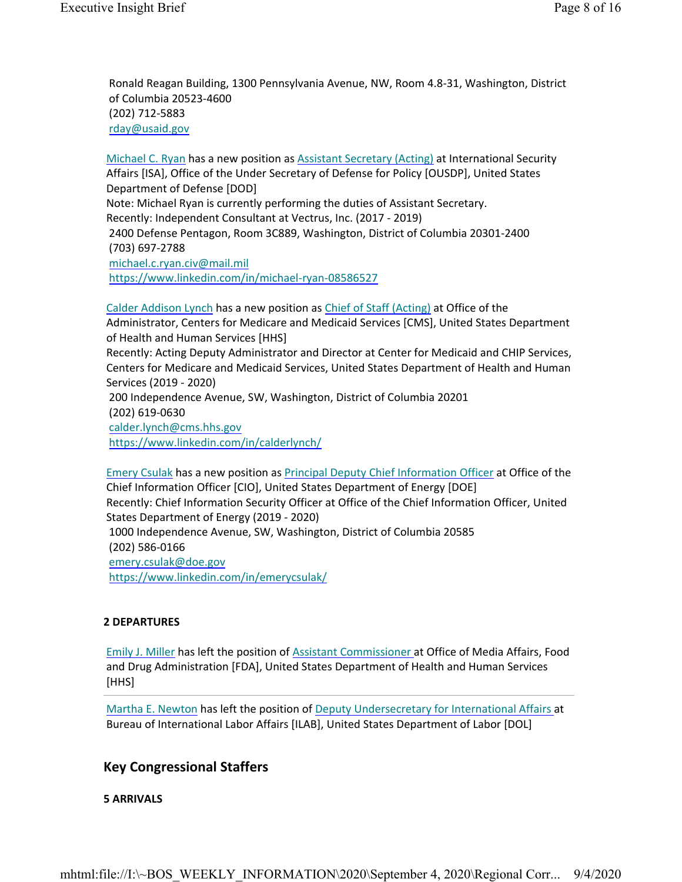Ronald Reagan Building, 1300 Pennsylvania Avenue, NW, Room 4.8-31, Washington, District of Columbia 20523-4600 (202) 712-5883 rday@usaid.gov

Michael C. Ryan has a new position as Assistant Secretary (Acting) at International Security Affairs [ISA], Office of the Under Secretary of Defense for Policy [OUSDP], United States Department of Defense [DOD] Note: Michael Ryan is currently performing the duties of Assistant Secretary. Recently: Independent Consultant at Vectrus, Inc. (2017 - 2019) 2400 Defense Pentagon, Room 3C889, Washington, District of Columbia 20301-2400 (703) 697-2788 michael.c.ryan.civ@mail.mil https://www.linkedin.com/in/michael-ryan-08586527

Calder Addison Lynch has a new position as Chief of Staff (Acting) at Office of the Administrator, Centers for Medicare and Medicaid Services [CMS], United States Department of Health and Human Services [HHS] Recently: Acting Deputy Administrator and Director at Center for Medicaid and CHIP Services, Centers for Medicare and Medicaid Services, United States Department of Health and Human Services (2019 - 2020) 200 Independence Avenue, SW, Washington, District of Columbia 20201 (202) 619-0630 calder.lynch@cms.hhs.gov https://www.linkedin.com/in/calderlynch/

Emery Csulak has a new position as Principal Deputy Chief Information Officer at Office of the Chief Information Officer [CIO], United States Department of Energy [DOE] Recently: Chief Information Security Officer at Office of the Chief Information Officer, United States Department of Energy (2019 - 2020) 1000 Independence Avenue, SW, Washington, District of Columbia 20585 (202) 586-0166 emery.csulak@doe.gov https://www.linkedin.com/in/emerycsulak/

#### **2 DEPARTURES**

Emily J. Miller has left the position of Assistant Commissioner at Office of Media Affairs, Food and Drug Administration [FDA], United States Department of Health and Human Services [HHS]

Martha E. Newton has left the position of Deputy Undersecretary for International Affairs at Bureau of International Labor Affairs [ILAB], United States Department of Labor [DOL]

### **Key Congressional Staffers**

#### **5 ARRIVALS**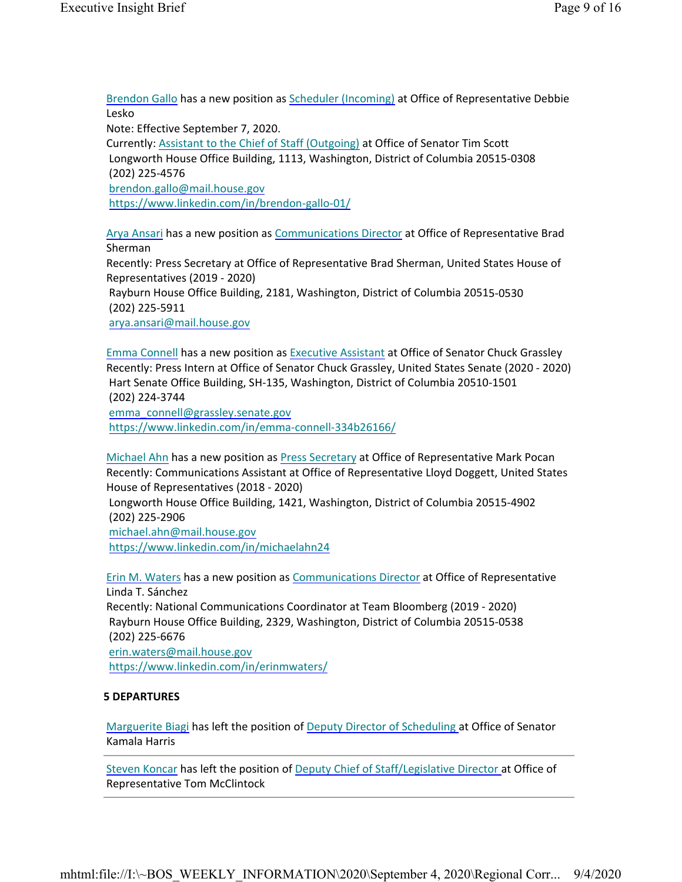Brendon Gallo has a new position as Scheduler (Incoming) at Office of Representative Debbie Lesko

Note: Effective September 7, 2020.

Currently: Assistant to the Chief of Staff (Outgoing) at Office of Senator Tim Scott Longworth House Office Building, 1113, Washington, District of Columbia 20515-0308 (202) 225-4576 brendon.gallo@mail.house.gov https://www.linkedin.com/in/brendon-gallo-01/

Arya Ansari has a new position as Communications Director at Office of Representative Brad Sherman Recently: Press Secretary at Office of Representative Brad Sherman, United States House of Representatives (2019 - 2020) Rayburn House Office Building, 2181, Washington, District of Columbia 20515-0530 (202) 225-5911 arya.ansari@mail.house.gov

Emma Connell has a new position as Executive Assistant at Office of Senator Chuck Grassley Recently: Press Intern at Office of Senator Chuck Grassley, United States Senate (2020 - 2020) Hart Senate Office Building, SH-135, Washington, District of Columbia 20510-1501 (202) 224-3744 emma\_connell@grassley.senate.gov https://www.linkedin.com/in/emma-connell-334b26166/

Michael Ahn has a new position as Press Secretary at Office of Representative Mark Pocan Recently: Communications Assistant at Office of Representative Lloyd Doggett, United States House of Representatives (2018 - 2020)

Longworth House Office Building, 1421, Washington, District of Columbia 20515-4902 (202) 225-2906

michael.ahn@mail.house.gov https://www.linkedin.com/in/michaelahn24

Erin M. Waters has a new position as Communications Director at Office of Representative Linda T. Sánchez Recently: National Communications Coordinator at Team Bloomberg (2019 - 2020) Rayburn House Office Building, 2329, Washington, District of Columbia 20515-0538 (202) 225-6676 erin.waters@mail.house.gov https://www.linkedin.com/in/erinmwaters/

#### **5 DEPARTURES**

Marguerite Biagi has left the position of Deputy Director of Scheduling at Office of Senator Kamala Harris

Steven Koncar has left the position of Deputy Chief of Staff/Legislative Director at Office of Representative Tom McClintock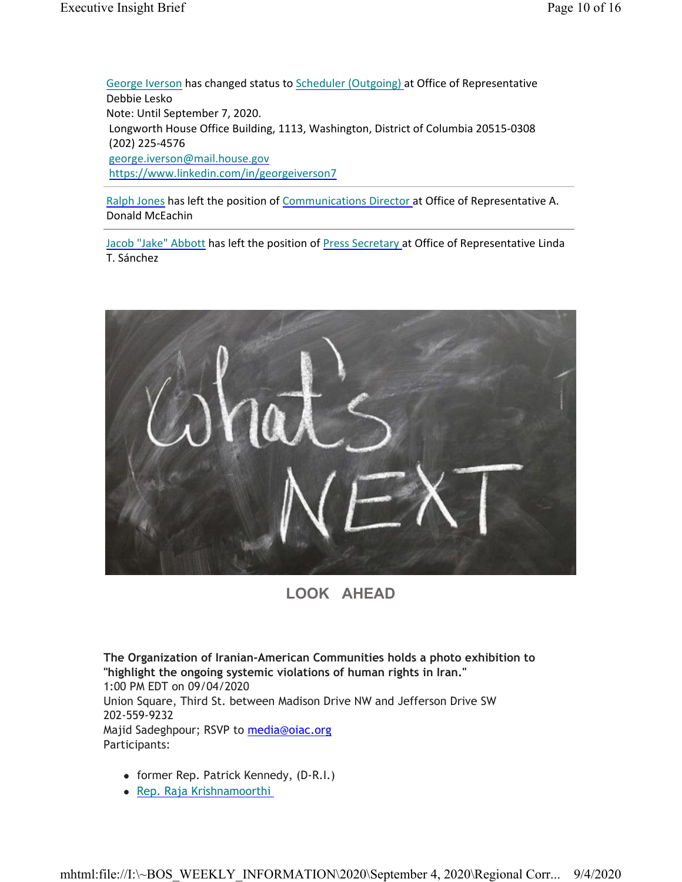George Iverson has changed status to Scheduler (Outgoing) at Office of Representative Debbie Lesko Note: Until September 7, 2020. Longworth House Office Building, 1113, Washington, District of Columbia 20515-0308 (202) 225-4576 george.iverson@mail.house.gov https://www.linkedin.com/in/georgeiverson7

Ralph Jones has left the position of Communications Director at Office of Representative A. Donald McEachin

Jacob "Jake" Abbott has left the position of Press Secretary at Office of Representative Linda T. Sánchez



### **LOOK AHEAD**

**The Organization of Iranian-American Communities holds a photo exhibition to "highlight the ongoing systemic violations of human rights in Iran."** 1:00 PM EDT on 09/04/2020 Union Square, Third St. between Madison Drive NW and Jefferson Drive SW 202-559-9232 Majid Sadeghpour; RSVP to media@oiac.org Participants:

- former Rep. Patrick Kennedy, (D-R.I.)
- Rep. Raja Krishnamoorthi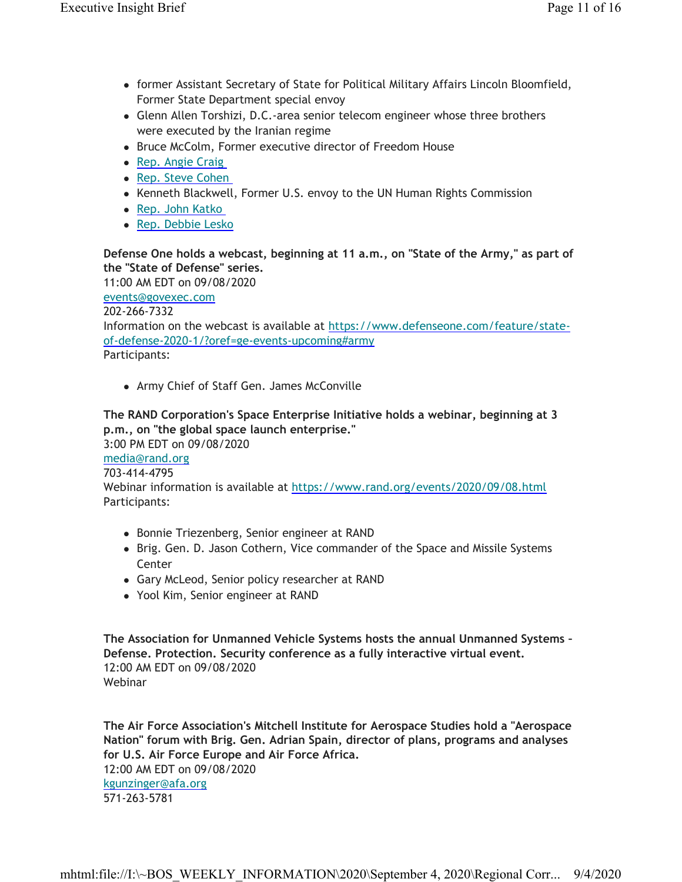- former Assistant Secretary of State for Political Military Affairs Lincoln Bloomfield, Former State Department special envoy
- Glenn Allen Torshizi, D.C.-area senior telecom engineer whose three brothers were executed by the Iranian regime
- Bruce McColm, Former executive director of Freedom House
- Rep. Angie Craig
- Rep. Steve Cohen
- Kenneth Blackwell, Former U.S. envoy to the UN Human Rights Commission
- Rep. John Katko
- Rep. Debbie Lesko

**Defense One holds a webcast, beginning at 11 a.m., on "State of the Army," as part of the "State of Defense" series.**

11:00 AM EDT on 09/08/2020

events@govexec.com

202-266-7332

Information on the webcast is available at https://www.defenseone.com/feature/stateof-defense-2020-1/?oref=ge-events-upcoming#army

Participants:

Army Chief of Staff Gen. James McConville

### **The RAND Corporation's Space Enterprise Initiative holds a webinar, beginning at 3 p.m., on "the global space launch enterprise."**

3:00 PM EDT on 09/08/2020 media@rand.org 703-414-4795 Webinar information is available at https://www.rand.org/events/2020/09/08.html Participants:

- Bonnie Triezenberg, Senior engineer at RAND
- Brig. Gen. D. Jason Cothern, Vice commander of the Space and Missile Systems **Center**
- Gary McLeod, Senior policy researcher at RAND
- Yool Kim, Senior engineer at RAND

**The Association for Unmanned Vehicle Systems hosts the annual Unmanned Systems – Defense. Protection. Security conference as a fully interactive virtual event.** 12:00 AM EDT on 09/08/2020 Webinar

**The Air Force Association's Mitchell Institute for Aerospace Studies hold a "Aerospace Nation" forum with Brig. Gen. Adrian Spain, director of plans, programs and analyses for U.S. Air Force Europe and Air Force Africa.** 12:00 AM EDT on 09/08/2020 kgunzinger@afa.org 571-263-5781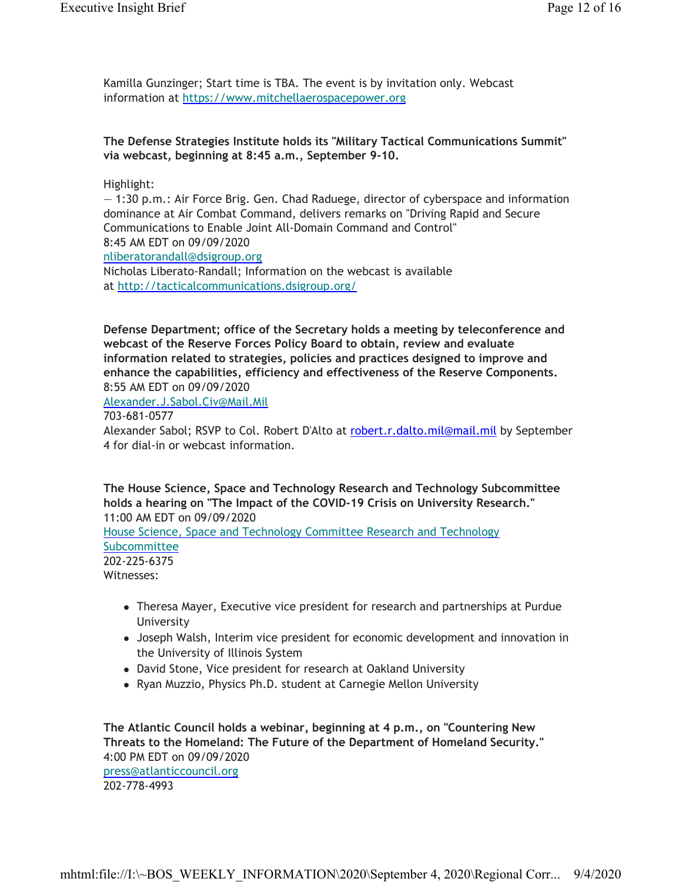Kamilla Gunzinger; Start time is TBA. The event is by invitation only. Webcast information at https://www.mitchellaerospacepower.org

#### **The Defense Strategies Institute holds its "Military Tactical Communications Summit" via webcast, beginning at 8:45 a.m., September 9-10.**

#### Highlight:

— 1:30 p.m.: Air Force Brig. Gen. Chad Raduege, director of cyberspace and information dominance at Air Combat Command, delivers remarks on "Driving Rapid and Secure Communications to Enable Joint All-Domain Command and Control" 8:45 AM EDT on 09/09/2020 nliberatorandall@dsigroup.org Nicholas Liberato-Randall; Information on the webcast is available at http://tacticalcommunications.dsigroup.org/

**Defense Department; office of the Secretary holds a meeting by teleconference and webcast of the Reserve Forces Policy Board to obtain, review and evaluate information related to strategies, policies and practices designed to improve and enhance the capabilities, efficiency and effectiveness of the Reserve Components.** 8:55 AM EDT on 09/09/2020

Alexander.J.Sabol.Civ@Mail.Mil

703-681-0577

Alexander Sabol; RSVP to Col. Robert D'Alto at robert.r.dalto.mil@mail.mil by September 4 for dial-in or webcast information.

**The House Science, Space and Technology Research and Technology Subcommittee holds a hearing on "The Impact of the COVID-19 Crisis on University Research."** 11:00 AM EDT on 09/09/2020 House Science, Space and Technology Committee Research and Technology Subcommittee 202-225-6375 Witnesses:

- Theresa Mayer, Executive vice president for research and partnerships at Purdue University
- Joseph Walsh, Interim vice president for economic development and innovation in the University of Illinois System
- David Stone, Vice president for research at Oakland University
- Ryan Muzzio, Physics Ph.D. student at Carnegie Mellon University

**The Atlantic Council holds a webinar, beginning at 4 p.m., on "Countering New Threats to the Homeland: The Future of the Department of Homeland Security."** 4:00 PM EDT on 09/09/2020 press@atlanticcouncil.org 202-778-4993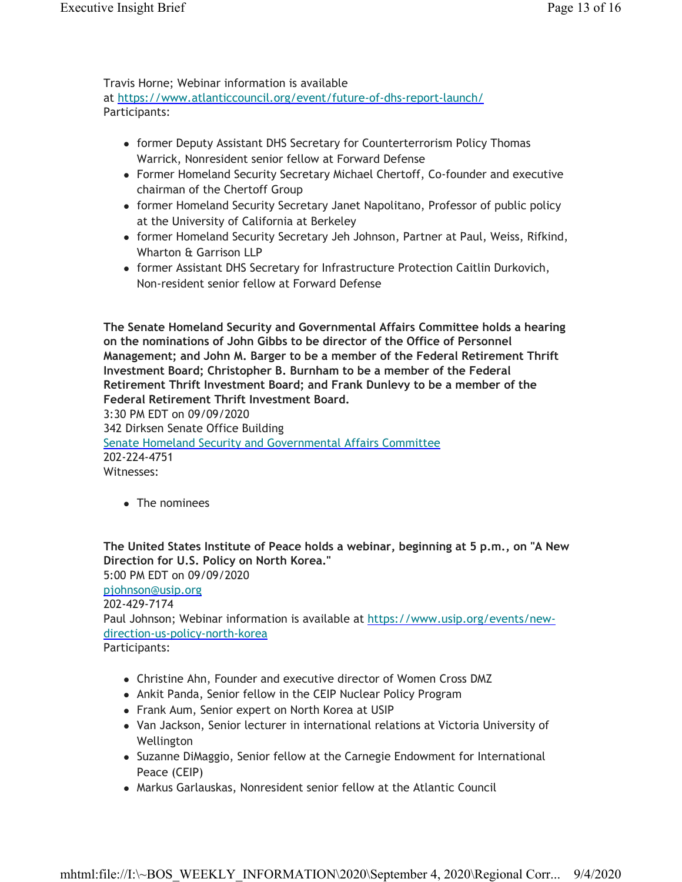Travis Horne; Webinar information is available

at https://www.atlanticcouncil.org/event/future-of-dhs-report-launch/ Participants:

- former Deputy Assistant DHS Secretary for Counterterrorism Policy Thomas Warrick, Nonresident senior fellow at Forward Defense
- Former Homeland Security Secretary Michael Chertoff, Co-founder and executive chairman of the Chertoff Group
- former Homeland Security Secretary Janet Napolitano, Professor of public policy at the University of California at Berkeley
- former Homeland Security Secretary Jeh Johnson, Partner at Paul, Weiss, Rifkind, Wharton & Garrison LLP
- former Assistant DHS Secretary for Infrastructure Protection Caitlin Durkovich, Non-resident senior fellow at Forward Defense

**The Senate Homeland Security and Governmental Affairs Committee holds a hearing on the nominations of John Gibbs to be director of the Office of Personnel Management; and John M. Barger to be a member of the Federal Retirement Thrift Investment Board; Christopher B. Burnham to be a member of the Federal Retirement Thrift Investment Board; and Frank Dunlevy to be a member of the Federal Retirement Thrift Investment Board.**

3:30 PM EDT on 09/09/2020 342 Dirksen Senate Office Building Senate Homeland Security and Governmental Affairs Committee 202-224-4751 Witnesses:

• The nominees

**The United States Institute of Peace holds a webinar, beginning at 5 p.m., on "A New Direction for U.S. Policy on North Korea."** 5:00 PM EDT on 09/09/2020 pjohnson@usip.org 202-429-7174 Paul Johnson; Webinar information is available at https://www.usip.org/events/newdirection-us-policy-north-korea Participants:

- Christine Ahn, Founder and executive director of Women Cross DMZ
- Ankit Panda, Senior fellow in the CEIP Nuclear Policy Program
- Frank Aum, Senior expert on North Korea at USIP
- Van Jackson, Senior lecturer in international relations at Victoria University of Wellington
- Suzanne DiMaggio, Senior fellow at the Carnegie Endowment for International Peace (CEIP)
- Markus Garlauskas, Nonresident senior fellow at the Atlantic Council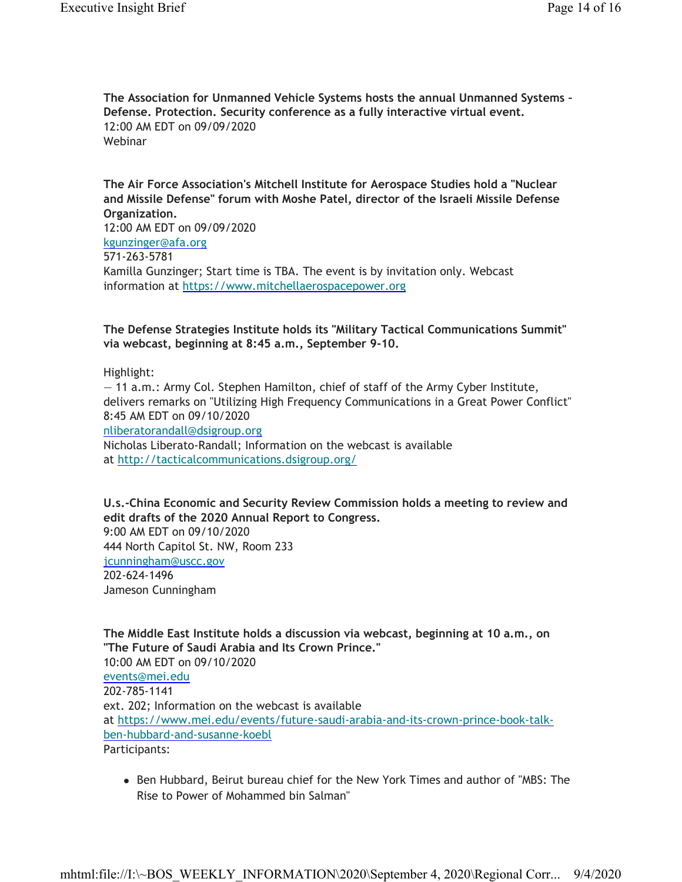**The Association for Unmanned Vehicle Systems hosts the annual Unmanned Systems – Defense. Protection. Security conference as a fully interactive virtual event.** 12:00 AM EDT on 09/09/2020 Webinar

**The Air Force Association's Mitchell Institute for Aerospace Studies hold a "Nuclear and Missile Defense" forum with Moshe Patel, director of the Israeli Missile Defense Organization.** 12:00 AM EDT on 09/09/2020 kgunzinger@afa.org 571-263-5781 Kamilla Gunzinger; Start time is TBA. The event is by invitation only. Webcast information at https://www.mitchellaerospacepower.org

**The Defense Strategies Institute holds its "Military Tactical Communications Summit" via webcast, beginning at 8:45 a.m., September 9-10.**

Highlight:

— 11 a.m.: Army Col. Stephen Hamilton, chief of staff of the Army Cyber Institute, delivers remarks on "Utilizing High Frequency Communications in a Great Power Conflict" 8:45 AM EDT on 09/10/2020

nliberatorandall@dsigroup.org

Nicholas Liberato-Randall; Information on the webcast is available at http://tacticalcommunications.dsigroup.org/

**U.s.-China Economic and Security Review Commission holds a meeting to review and edit drafts of the 2020 Annual Report to Congress.** 9:00 AM EDT on 09/10/2020 444 North Capitol St. NW, Room 233 jcunningham@uscc.gov 202-624-1496 Jameson Cunningham

**The Middle East Institute holds a discussion via webcast, beginning at 10 a.m., on "The Future of Saudi Arabia and Its Crown Prince."** 10:00 AM EDT on 09/10/2020 events@mei.edu 202-785-1141 ext. 202; Information on the webcast is available at https://www.mei.edu/events/future-saudi-arabia-and-its-crown-prince-book-talkben-hubbard-and-susanne-koebl Participants:

• Ben Hubbard, Beirut bureau chief for the New York Times and author of "MBS: The Rise to Power of Mohammed bin Salman"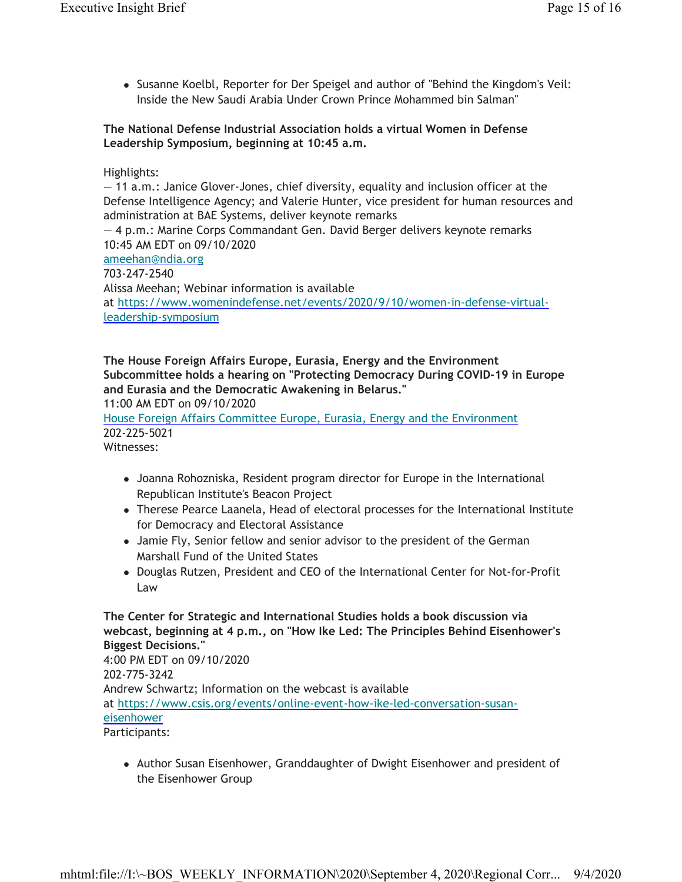Susanne Koelbl, Reporter for Der Speigel and author of "Behind the Kingdom's Veil: Inside the New Saudi Arabia Under Crown Prince Mohammed bin Salman"

#### **The National Defense Industrial Association holds a virtual Women in Defense Leadership Symposium, beginning at 10:45 a.m.**

#### Highlights:

— 11 a.m.: Janice Glover-Jones, chief diversity, equality and inclusion officer at the Defense Intelligence Agency; and Valerie Hunter, vice president for human resources and administration at BAE Systems, deliver keynote remarks

— 4 p.m.: Marine Corps Commandant Gen. David Berger delivers keynote remarks 10:45 AM EDT on 09/10/2020

ameehan@ndia.org

703-247-2540

Alissa Meehan; Webinar information is available at https://www.womenindefense.net/events/2020/9/10/women-in-defense-virtualleadership-symposium

### **The House Foreign Affairs Europe, Eurasia, Energy and the Environment Subcommittee holds a hearing on "Protecting Democracy During COVID-19 in Europe and Eurasia and the Democratic Awakening in Belarus."**

11:00 AM EDT on 09/10/2020

House Foreign Affairs Committee Europe, Eurasia, Energy and the Environment 202-225-5021

Witnesses:

- Joanna Rohozniska, Resident program director for Europe in the International Republican Institute's Beacon Project
- Therese Pearce Laanela, Head of electoral processes for the International Institute for Democracy and Electoral Assistance
- Jamie Fly, Senior fellow and senior advisor to the president of the German Marshall Fund of the United States
- Douglas Rutzen, President and CEO of the International Center for Not-for-Profit Law

**The Center for Strategic and International Studies holds a book discussion via webcast, beginning at 4 p.m., on "How Ike Led: The Principles Behind Eisenhower's Biggest Decisions."** 4:00 PM EDT on 09/10/2020 202-775-3242 Andrew Schwartz; Information on the webcast is available at https://www.csis.org/events/online-event-how-ike-led-conversation-susaneisenhower Participants:

• Author Susan Eisenhower, Granddaughter of Dwight Eisenhower and president of the Eisenhower Group